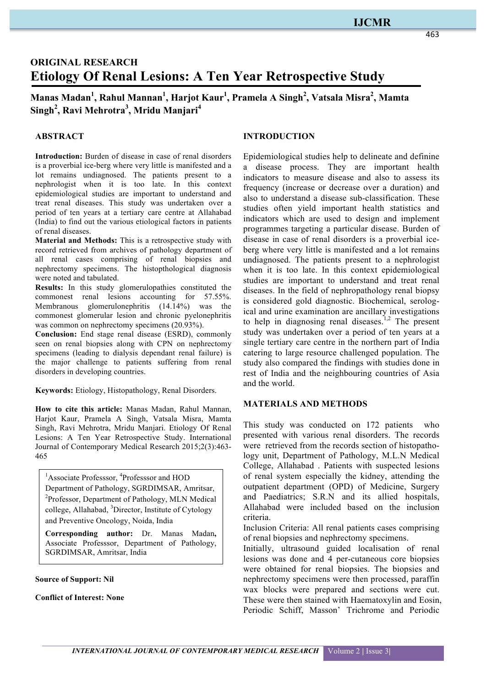## **IJCMR**

# **ORIGINAL RESEARCH Etiology Of Renal Lesions: A Ten Year Retrospective Study**

## **Manas Madan<sup>1</sup> , Rahul Mannan<sup>1</sup> , Harjot Kaur1 , Pramela A Singh<sup>2</sup> , Vatsala Misra<sup>2</sup> , Mamta Singh<sup>2</sup> , Ravi Mehrotra<sup>3</sup> , Mridu Manjari4**

## **ABSTRACT**

**Introduction:** Burden of disease in case of renal disorders is a proverbial ice-berg where very little is manifested and a lot remains undiagnosed. The patients present to a nephrologist when it is too late. In this context epidemiological studies are important to understand and treat renal diseases. This study was undertaken over a period of ten years at a tertiary care centre at Allahabad (India) to find out the various etiological factors in patients of renal diseases.

**Material and Methods:** This is a retrospective study with record retrieved from archives of pathology department of all renal cases comprising of renal biopsies and nephrectomy specimens. The histopthological diagnosis were noted and tabulated.

**Results:** In this study glomerulopathies constituted the commonest renal lesions accounting for 57.55%. Membranous glomerulonephritis (14.14%) was the commonest glomerular lesion and chronic pyelonephritis was common on nephrectomy specimens  $(20.93\%)$ .

**Conclusion:** End stage renal disease (ESRD), commonly seen on renal biopsies along with CPN on nephrectomy specimens (leading to dialysis dependant renal failure) is the major challenge to patients suffering from renal disorders in developing countries.

**Keywords:** Etiology, Histopathology, Renal Disorders.

**How to cite this article:** Manas Madan, Rahul Mannan, Harjot Kaur, Pramela A Singh, Vatsala Misra, Mamta Singh, Ravi Mehrotra, Mridu Manjari. Etiology Of Renal Lesions: A Ten Year Retrospective Study. International Journal of Contemporary Medical Research 2015;2(3):463- 465

<sup>1</sup>Associate Professsor, <sup>4</sup>Professsor and HOD Department of Pathology, SGRDIMSAR, Amritsar, <sup>2</sup>Professor, Department of Pathology, MLN Medical college, Allahabad, <sup>3</sup>Director, Institute of Cytology and Preventive Oncology, Noida, India

**Corresponding author:** Dr. Manas Madan**,**  Associate Professsor, Department of Pathology, SGRDIMSAR, Amritsar, India

**Source of Support: Nil**

**Conflict of Interest: None**

### **INTRODUCTION**

Epidemiological studies help to delineate and definine a disease process. They are important health indicators to measure disease and also to assess its frequency (increase or decrease over a duration) and also to understand a disease sub-classification. These studies often yield important health statistics and indicators which are used to design and implement programmes targeting a particular disease. Burden of disease in case of renal disorders is a proverbial iceberg where very little is manifested and a lot remains undiagnosed. The patients present to a nephrologist when it is too late. In this context epidemiological studies are important to understand and treat renal diseases. In the field of nephropathology renal biopsy is considered gold diagnostic. Biochemical, serological and urine examination are ancillary investigations to help in diagnosing renal diseases.<sup>1,2</sup> The present study was undertaken over a period of ten years at a single tertiary care centre in the northern part of India catering to large resource challenged population. The study also compared the findings with studies done in rest of India and the neighbouring countries of Asia and the world.

#### **MATERIALS AND METHODS**

This study was conducted on 172 patients who presented with various renal disorders. The records were retrieved from the records section of histopathology unit, Department of Pathology, M.L.N Medical College, Allahabad . Patients with suspected lesions of renal system especially the kidney, attending the outpatient department (OPD) of Medicine, Surgery and Paediatrics; S.R.N and its allied hospitals, Allahabad were included based on the inclusion criteria.

Inclusion Criteria: All renal patients cases comprising of renal biopsies and nephrectomy specimens.

Initially, ultrasound guided localisation of renal lesions was done and 4 per-cutaneous core biopsies were obtained for renal biopsies. The biopsies and nephrectomy specimens were then processed, paraffin wax blocks were prepared and sections were cut. These were then stained with Haematoxylin and Eosin, Periodic Schiff, Masson' Trichrome and Periodic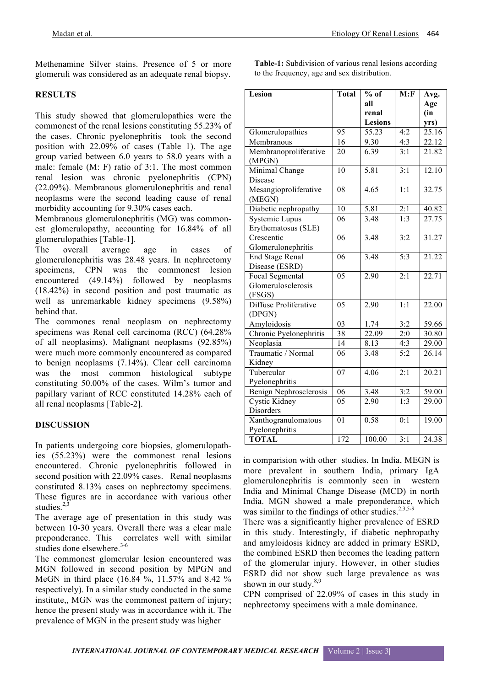Methenamine Silver stains. Presence of 5 or more glomeruli was considered as an adequate renal biopsy.

## **RESULTS**

This study showed that glomerulopathies were the commonest of the renal lesions constituting 55.23% of the cases. Chronic pyelonephritis took the second position with 22.09% of cases (Table 1). The age group varied between 6.0 years to 58.0 years with a male: female (M: F) ratio of 3:1. The most common renal lesion was chronic pyelonephritis (CPN) (22.09%). Membranous glomerulonephritis and renal neoplasms were the second leading cause of renal morbidity accounting for 9.30% cases each.

Membranous glomerulonephritis (MG) was commonest glomerulopathy, accounting for 16.84% of all glomerulopathies [Table-1].

The overall average age in cases of glomerulonephritis was 28.48 years. In nephrectomy specimens, CPN was the commonest lesion encountered (49.14%) followed by neoplasms (18.42%) in second position and post traumatic as well as unremarkable kidney specimens (9.58%) behind that.

The commones renal neoplasm on nephrectomy specimens was Renal cell carcinoma (RCC) (64.28% of all neoplasims). Malignant neoplasms (92.85%) were much more commonly encountered as compared to benign neoplasms (7.14%). Clear cell carcinoma was the most common histological subtype constituting 50.00% of the cases. Wilm's tumor and papillary variant of RCC constituted 14.28% each of all renal neoplasms [Table-2].

## **DISCUSSION**

In patients undergoing core biopsies, glomerulopathies (55.23%) were the commonest renal lesions encountered. Chronic pyelonephritis followed in second position with 22.09% cases. Renal neoplasms constituted 8.13% cases on nephrectomy specimens. These figures are in accordance with various other studies. $2,3$ 

The average age of presentation in this study was between 10-30 years. Overall there was a clear male preponderance. This correlates well with similar studies done elsewhere.<sup>3-6</sup>

The commonest glomerular lesion encountered was MGN followed in second position by MPGN and MeGN in third place (16.84 %, 11.57% and 8.42 % respectively). In a similar study conducted in the same institute,, MGN was the commonest pattern of injury; hence the present study was in accordance with it. The prevalence of MGN in the present study was higher

**Table-1:** Subdivision of various renal lesions according to the frequency, age and sex distribution.

| Lesion                 | Total           | $%$ of             | M: F             | Avg.  |
|------------------------|-----------------|--------------------|------------------|-------|
|                        |                 | all                |                  | Age   |
|                        |                 | renal              |                  | (in   |
|                        |                 | <b>Lesions</b>     |                  | yrs)  |
| Glomerulopathies       | 95              | $55.\overline{23}$ | 4:2              | 25.16 |
| Membranous             | 16              | 9.30               | 4:3              | 22.12 |
| Membranoproliferative  | 20              | 6.39               | 3:1              | 21.82 |
| (MPGN)                 |                 |                    |                  |       |
| Minimal Change         | 10              | 5.81               | 3:1              | 12.10 |
| Disease                |                 |                    |                  |       |
| Mesangioproliferative  | 08              | 4.65               | 1:1              | 32.75 |
| (MEGN)                 |                 |                    |                  |       |
| Diabetic nephropathy   | 10              | 5.81               | 2:1              | 40.82 |
| <b>Systemic Lupus</b>  | 06              | 3.48               | 1:3              | 27.75 |
| Erythematosus (SLE)    |                 |                    |                  |       |
| Crescentic             | 06              | 3.48               | 3:2              | 31.27 |
| Glomerulonephritis     |                 |                    |                  |       |
| <b>End Stage Renal</b> | 06              | 3.48               | $\overline{5:3}$ | 21.22 |
| Disease (ESRD)         |                 |                    |                  |       |
| Focal Segmental        | 05              | 2.90               | 2:1              | 22.71 |
| Glomerulosclerosis     |                 |                    |                  |       |
| (FSGS)                 |                 |                    |                  |       |
| Diffuse Proliferative  | 05              | 2.90               | $\overline{1:1}$ | 22.00 |
| (DPGN)                 |                 |                    |                  |       |
| Amyloidosis            | $\overline{03}$ | 1.74               | 3:2              | 59.66 |
| Chronic Pyelonephritis | 38              | 22.09              | 2:0              | 30.80 |
| Neoplasia              | $\overline{14}$ | 8.13               | 4:3              | 29.00 |
| Traumatic / Normal     | 06              | 3.48               | 5:2              | 26.14 |
| Kidney                 |                 |                    |                  |       |
| Tubercular             | 07              | 4.06               | 2:1              | 20.21 |
| Pyelonephritis         |                 |                    |                  |       |
| Benign Nephrosclerosis | 06              | 3.48               | 3:2              | 59.00 |
| Cystic Kidney          | 05              | 2.90               | $\overline{1:3}$ | 29.00 |
| Disorders              |                 |                    |                  |       |
| Xanthogranulomatous    | 01              | 0.58               | 0:1              | 19.00 |
| Pyelonephritis         |                 |                    |                  |       |
| <b>TOTAL</b>           | 172             | 100.00             | 3:1              | 24.38 |

in comparision with other studies. In India, MEGN is more prevalent in southern India, primary IgA glomerulonephritis is commonly seen in western India and Minimal Change Disease (MCD) in north India. MGN showed a male preponderance, which was similar to the findings of other studies. $2,3,5-9$ 

There was a significantly higher prevalence of ESRD in this study. Interestingly, if diabetic nephropathy and amyloidosis kidney are added in primary ESRD, the combined ESRD then becomes the leading pattern of the glomerular injury. However, in other studies ESRD did not show such large prevalence as was shown in our study. $8,9$ 

CPN comprised of 22.09% of cases in this study in nephrectomy specimens with a male dominance.